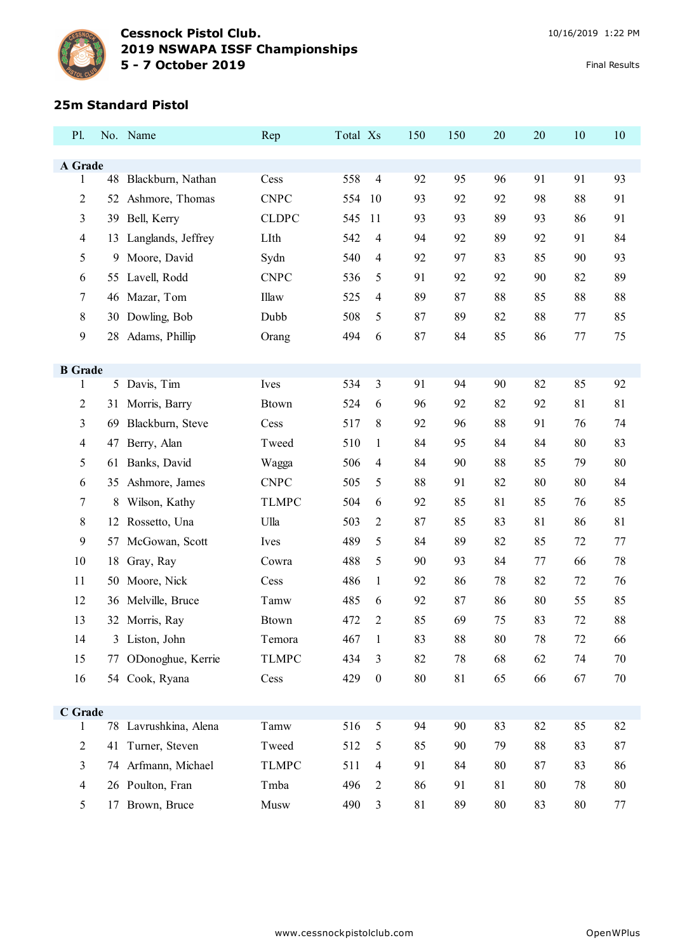

#### **25m Standard Pistol**

| P1.                 |                | No. Name              | Rep          | Total Xs |                  | 150 | 150 | 20 | 20 | 10 | 10 |
|---------------------|----------------|-----------------------|--------------|----------|------------------|-----|-----|----|----|----|----|
|                     |                |                       |              |          |                  |     |     |    |    |    |    |
| A Grade<br>1        |                | 48 Blackburn, Nathan  | Cess         | 558      | $\overline{4}$   | 92  | 95  | 96 | 91 | 91 | 93 |
| 2                   | 52             | Ashmore, Thomas       | <b>CNPC</b>  | 554      | 10               | 93  | 92  | 92 | 98 | 88 | 91 |
| 3                   | 39             | Bell, Kerry           | <b>CLDPC</b> | 545      | 11               | 93  | 93  | 89 | 93 | 86 | 91 |
| 4                   | 13             | Langlands, Jeffrey    | LIth         | 542      | 4                | 94  | 92  | 89 | 92 | 91 | 84 |
| 5                   | 9              | Moore, David          | Sydn         | 540      | 4                | 92  | 97  | 83 | 85 | 90 | 93 |
| 6                   |                | 55 Lavell, Rodd       | <b>CNPC</b>  | 536      | 5                | 91  | 92  | 92 | 90 | 82 | 89 |
| 7                   | 46             | Mazar, Tom            | Illaw        | 525      | $\overline{4}$   | 89  | 87  | 88 | 85 | 88 | 88 |
| 8                   |                | 30 Dowling, Bob       | Dubb         | 508      | 5                | 87  | 89  | 82 | 88 | 77 | 85 |
| 9                   | 28             | Adams, Phillip        | Orang        | 494      | 6                | 87  | 84  | 85 | 86 | 77 | 75 |
|                     |                |                       |              |          |                  |     |     |    |    |    |    |
| <b>B</b> Grade<br>1 |                | 5 Davis, Tim          | Ives         | 534      | 3                | 91  | 94  | 90 | 82 | 85 | 92 |
| 2                   | 31             | Morris, Barry         | <b>Btown</b> | 524      | 6                | 96  | 92  | 82 | 92 | 81 | 81 |
| 3                   | 69             | Blackburn, Steve      | Cess         | 517      | 8                | 92  | 96  | 88 | 91 | 76 | 74 |
| 4                   | 47             | Berry, Alan           | Tweed        | 510      | $\mathbf{1}$     | 84  | 95  | 84 | 84 | 80 | 83 |
| 5                   | 61             | Banks, David          | Wagga        | 506      | $\overline{4}$   | 84  | 90  | 88 | 85 | 79 | 80 |
| 6                   | 35             | Ashmore, James        | <b>CNPC</b>  | 505      | 5                | 88  | 91  | 82 | 80 | 80 | 84 |
| 7                   | 8              | Wilson, Kathy         | <b>TLMPC</b> | 504      | 6                | 92  | 85  | 81 | 85 | 76 | 85 |
| 8                   |                | 12 Rossetto, Una      | Ulla         | 503      | 2                | 87  | 85  | 83 | 81 | 86 | 81 |
| 9                   | 57             | McGowan, Scott        | Ives         | 489      | 5                | 84  | 89  | 82 | 85 | 72 | 77 |
| 10                  | 18             | Gray, Ray             | Cowra        | 488      | 5                | 90  | 93  | 84 | 77 | 66 | 78 |
| 11                  | 50             | Moore, Nick           | Cess         | 486      | 1                | 92  | 86  | 78 | 82 | 72 | 76 |
| 12                  |                | 36 Melville, Bruce    | Tamw         | 485      | 6                | 92  | 87  | 86 | 80 | 55 | 85 |
| 13                  |                | 32 Morris, Ray        | <b>Btown</b> | 472      | $\overline{c}$   | 85  | 69  | 75 | 83 | 72 | 88 |
| 14                  | $\mathfrak{Z}$ | Liston, John          | Temora       | 467      | $\mathbf{1}$     | 83  | 88  | 80 | 78 | 72 | 66 |
| 15                  | 77             | ODonoghue, Kerrie     | <b>TLMPC</b> | 434      | $\mathfrak{Z}$   | 82  | 78  | 68 | 62 | 74 | 70 |
| 16                  |                | 54 Cook, Ryana        | Cess         | 429      | $\boldsymbol{0}$ | 80  | 81  | 65 | 66 | 67 | 70 |
|                     |                |                       |              |          |                  |     |     |    |    |    |    |
| C Grade<br>1        |                | 78 Lavrushkina, Alena | Tamw         | 516      | $\mathfrak s$    | 94  | 90  | 83 | 82 | 85 | 82 |
| $\overline{2}$      |                | 41 Turner, Steven     | Tweed        | 512      | 5                | 85  | 90  | 79 | 88 | 83 | 87 |
| 3                   | 74             | Arfmann, Michael      | <b>TLMPC</b> | 511      | $\overline{4}$   | 91  | 84  | 80 | 87 | 83 | 86 |
| $\overline{4}$      |                | 26 Poulton, Fran      | Tmba         | 496      | $\overline{2}$   | 86  | 91  | 81 | 80 | 78 | 80 |
| 5                   |                | 17 Brown, Bruce       | Musw         | 490      | 3                | 81  | 89  | 80 | 83 | 80 | 77 |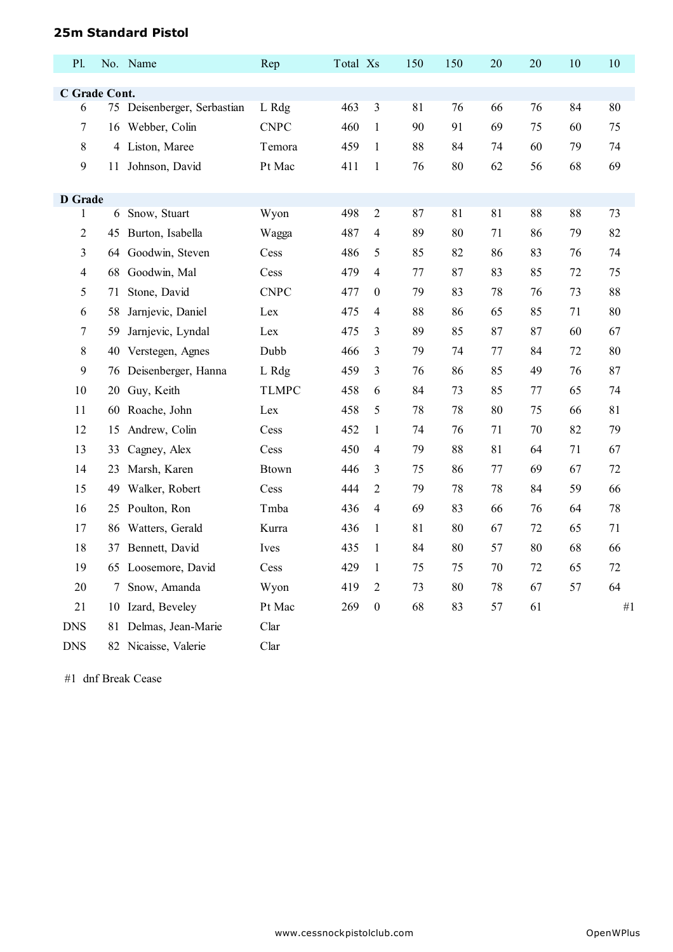### **25m Standard Pistol**

| P1.                |    | No. Name                 | Rep          | Total Xs |                  | 150 | 150 | 20 | 20 | 10 | 10 |
|--------------------|----|--------------------------|--------------|----------|------------------|-----|-----|----|----|----|----|
|                    |    |                          |              |          |                  |     |     |    |    |    |    |
| C Grade Cont.<br>6 | 75 | Deisenberger, Serbastian | L Rdg        | 463      | 3                | 81  | 76  | 66 | 76 | 84 | 80 |
| 7                  | 16 | Webber, Colin            | <b>CNPC</b>  | 460      | $\mathbf{1}$     | 90  | 91  | 69 | 75 | 60 | 75 |
| 8                  |    | 4 Liston, Maree          | Temora       | 459      | $\mathbf{1}$     | 88  | 84  | 74 | 60 | 79 | 74 |
| 9                  |    | 11 Johnson, David        | Pt Mac       | 411      | $\mathbf{1}$     | 76  | 80  | 62 | 56 | 68 | 69 |
|                    |    |                          |              |          |                  |     |     |    |    |    |    |
| <b>D</b> Grade     |    |                          |              |          |                  |     |     |    |    |    |    |
| 1                  |    | 6 Snow, Stuart           | Wyon         | 498      | 2                | 87  | 81  | 81 | 88 | 88 | 73 |
| 2                  |    | 45 Burton, Isabella      | Wagga        | 487      | 4                | 89  | 80  | 71 | 86 | 79 | 82 |
| 3                  | 64 | Goodwin, Steven          | Cess         | 486      | 5                | 85  | 82  | 86 | 83 | 76 | 74 |
| 4                  | 68 | Goodwin, Mal             | Cess         | 479      | 4                | 77  | 87  | 83 | 85 | 72 | 75 |
| 5                  | 71 | Stone, David             | <b>CNPC</b>  | 477      | 0                | 79  | 83  | 78 | 76 | 73 | 88 |
| 6                  | 58 | Jarnjevic, Daniel        | Lex          | 475      | 4                | 88  | 86  | 65 | 85 | 71 | 80 |
| 7                  | 59 | Jarnjevic, Lyndal        | Lex          | 475      | 3                | 89  | 85  | 87 | 87 | 60 | 67 |
| 8                  | 40 | Verstegen, Agnes         | Dubb         | 466      | 3                | 79  | 74  | 77 | 84 | 72 | 80 |
| 9                  | 76 | Deisenberger, Hanna      | L Rdg        | 459      | 3                | 76  | 86  | 85 | 49 | 76 | 87 |
| 10                 | 20 | Guy, Keith               | <b>TLMPC</b> | 458      | 6                | 84  | 73  | 85 | 77 | 65 | 74 |
| 11                 | 60 | Roache, John             | Lex          | 458      | 5                | 78  | 78  | 80 | 75 | 66 | 81 |
| 12                 | 15 | Andrew, Colin            | Cess         | 452      | $\mathbf{1}$     | 74  | 76  | 71 | 70 | 82 | 79 |
| 13                 | 33 | Cagney, Alex             | Cess         | 450      | 4                | 79  | 88  | 81 | 64 | 71 | 67 |
| 14                 | 23 | Marsh, Karen             | <b>Btown</b> | 446      | 3                | 75  | 86  | 77 | 69 | 67 | 72 |
| 15                 | 49 | Walker, Robert           | Cess         | 444      | $\overline{c}$   | 79  | 78  | 78 | 84 | 59 | 66 |
| 16                 | 25 | Poulton, Ron             | Tmba         | 436      | 4                | 69  | 83  | 66 | 76 | 64 | 78 |
| 17                 | 86 | Watters, Gerald          | Kurra        | 436      | $\mathbf{1}$     | 81  | 80  | 67 | 72 | 65 | 71 |
| 18                 | 37 | Bennett, David           | Ives         | 435      | $\mathbf{1}$     | 84  | 80  | 57 | 80 | 68 | 66 |
| 19                 |    | 65 Loosemore, David      | Cess         | 429      | $\mathbf{1}$     | 75  | 75  | 70 | 72 | 65 | 72 |
| 20                 | 7  | Snow, Amanda             | Wyon         | 419      | $\overline{2}$   | 73  | 80  | 78 | 67 | 57 | 64 |
| 21                 |    | 10 Izard, Beveley        | Pt Mac       | 269      | $\boldsymbol{0}$ | 68  | 83  | 57 | 61 |    | #1 |
| <b>DNS</b>         |    | 81 Delmas, Jean-Marie    | Clar         |          |                  |     |     |    |    |    |    |
| <b>DNS</b>         |    | 82 Nicaisse, Valerie     | Clar         |          |                  |     |     |    |    |    |    |

#1 dnf Break Cease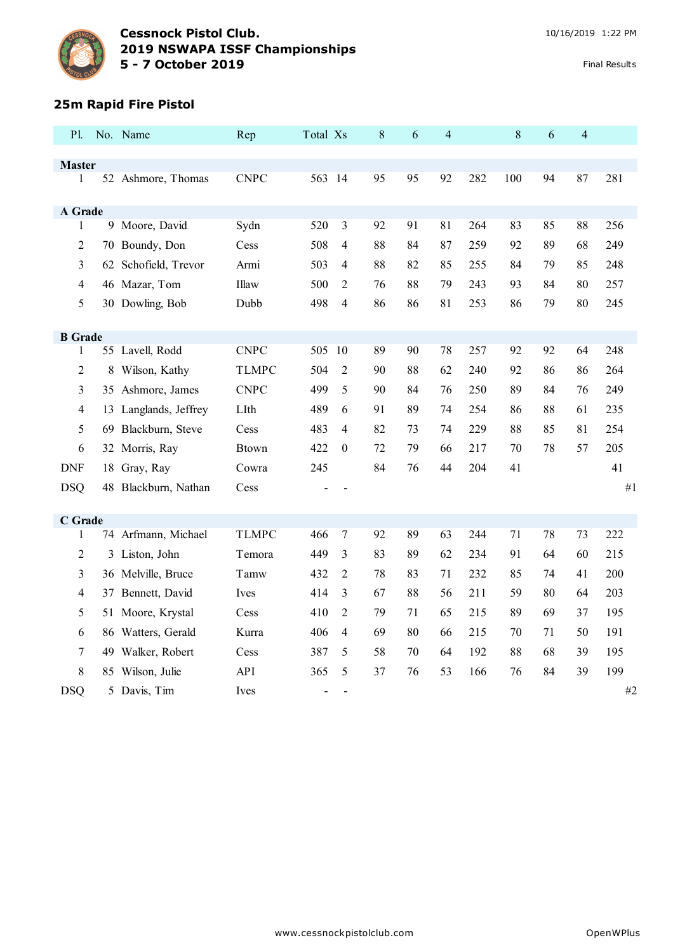

### **25m Rapid Fire Pistol**

| P1.                 |    | No. Name              | Rep          | Total Xs                 |                | 8  | 6  | 4  |     | 8   | 6  | $\overline{4}$ |     |
|---------------------|----|-----------------------|--------------|--------------------------|----------------|----|----|----|-----|-----|----|----------------|-----|
|                     |    |                       |              |                          |                |    |    |    |     |     |    |                |     |
| <b>Master</b><br>1  |    | 52 Ashmore, Thomas    | <b>CNPC</b>  | 563 14                   |                | 95 | 95 | 92 | 282 | 100 | 94 | 87             | 281 |
|                     |    |                       |              |                          |                |    |    |    |     |     |    |                |     |
| A Grade             |    |                       |              |                          |                |    |    |    |     |     |    |                |     |
| 1                   |    | 9 Moore, David        | Sydn         | 520                      | 3              | 92 | 91 | 81 | 264 | 83  | 85 | 88             | 256 |
| 2                   |    | 70 Boundy, Don        | Cess         | 508                      | 4              | 88 | 84 | 87 | 259 | 92  | 89 | 68             | 249 |
| 3                   |    | 62 Schofield, Trevor  | Armi         | 503                      | $\overline{4}$ | 88 | 82 | 85 | 255 | 84  | 79 | 85             | 248 |
| 4                   |    | 46 Mazar, Tom         | Illaw        | 500                      | 2              | 76 | 88 | 79 | 243 | 93  | 84 | 80             | 257 |
| 5                   |    | 30 Dowling, Bob       | Dubb         | 498                      | $\overline{4}$ | 86 | 86 | 81 | 253 | 86  | 79 | 80             | 245 |
|                     |    |                       |              |                          |                |    |    |    |     |     |    |                |     |
| <b>B</b> Grade<br>1 |    | 55 Lavell, Rodd       | <b>CNPC</b>  | 505 10                   |                | 89 | 90 | 78 | 257 | 92  | 92 | 64             | 248 |
| $\overline{2}$      |    | Wilson, Kathy         | <b>TLMPC</b> | 504                      | $\overline{2}$ | 90 | 88 | 62 | 240 | 92  | 86 | 86             | 264 |
|                     | 8  |                       |              |                          |                |    |    |    |     |     |    |                |     |
| 3                   |    | 35 Ashmore, James     | <b>CNPC</b>  | 499                      | 5              | 90 | 84 | 76 | 250 | 89  | 84 | 76             | 249 |
| 4                   |    | 13 Langlands, Jeffrey | LIth         | 489                      | 6              | 91 | 89 | 74 | 254 | 86  | 88 | 61             | 235 |
| 5                   | 69 | Blackburn, Steve      | Cess         | 483                      | 4              | 82 | 73 | 74 | 229 | 88  | 85 | 81             | 254 |
| 6                   |    | 32 Morris, Ray        | <b>Btown</b> | 422                      | $\theta$       | 72 | 79 | 66 | 217 | 70  | 78 | 57             | 205 |
| <b>DNF</b>          |    | 18 Gray, Ray          | Cowra        | 245                      |                | 84 | 76 | 44 | 204 | 41  |    |                | 41  |
| <b>DSQ</b>          |    | 48 Blackburn, Nathan  | Cess         |                          |                |    |    |    |     |     |    |                | #1  |
|                     |    |                       |              |                          |                |    |    |    |     |     |    |                |     |
| <b>C</b> Grade<br>1 |    | 74 Arfmann, Michael   | <b>TLMPC</b> | 466                      | 7              | 92 | 89 | 63 | 244 | 71  | 78 | 73             | 222 |
| 2                   | 3  | Liston, John          | Temora       | 449                      | 3              | 83 | 89 | 62 | 234 | 91  | 64 | 60             | 215 |
| 3                   |    | 36 Melville, Bruce    | Tamw         | 432                      | $\overline{2}$ | 78 | 83 | 71 | 232 | 85  | 74 | 41             | 200 |
| 4                   | 37 | Bennett, David        | Ives         | 414                      | $\overline{3}$ | 67 | 88 | 56 | 211 | 59  | 80 | 64             | 203 |
|                     |    |                       |              | 410                      | $\overline{2}$ | 79 | 71 | 65 | 215 |     | 69 | 37             | 195 |
| 5                   |    | 51 Moore, Krystal     | Cess         |                          |                |    |    |    |     | 89  |    |                |     |
| 6                   |    | 86 Watters, Gerald    | Kurra        | 406                      | $\overline{4}$ | 69 | 80 | 66 | 215 | 70  | 71 | 50             | 191 |
| 7                   |    | 49 Walker, Robert     | Cess         | 387                      | 5              | 58 | 70 | 64 | 192 | 88  | 68 | 39             | 195 |
| 8                   |    | 85 Wilson, Julie      | <b>API</b>   | 365                      | 5              | 37 | 76 | 53 | 166 | 76  | 84 | 39             | 199 |
| <b>DSQ</b>          |    | 5 Davis, Tim          | Ives         | $\overline{\phantom{0}}$ |                |    |    |    |     |     |    |                | #2  |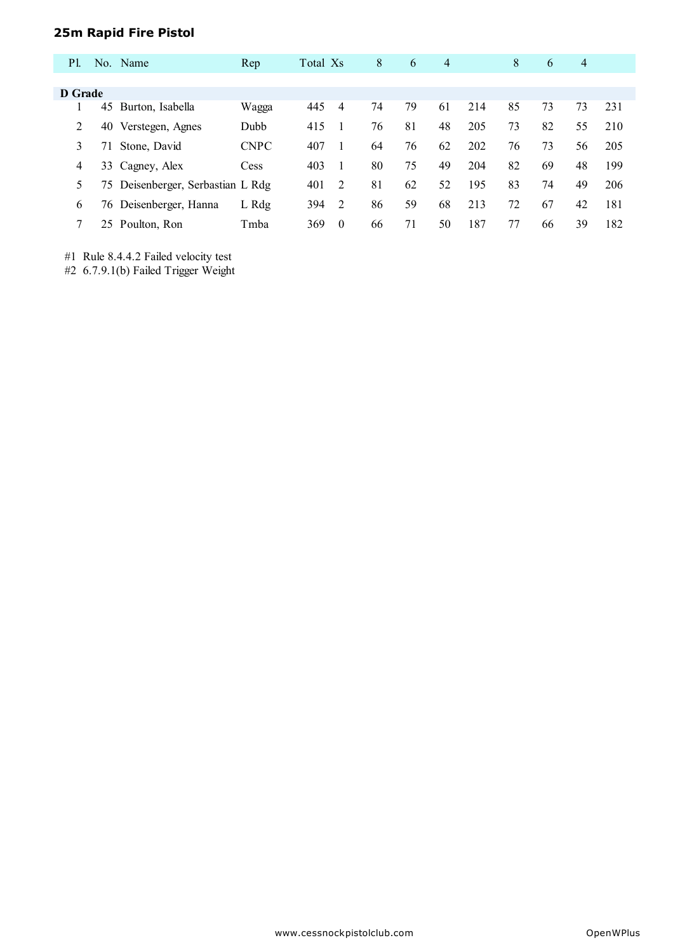## **25m Rapid Fire Pistol**

| <b>P</b> 1. |    | No. Name                          | Rep         | Total Xs |                | 8  | 6  | $\overline{4}$ |     | 8  | 6  | 4  |     |
|-------------|----|-----------------------------------|-------------|----------|----------------|----|----|----------------|-----|----|----|----|-----|
|             |    |                                   |             |          |                |    |    |                |     |    |    |    |     |
| D Grade     |    |                                   |             |          |                |    |    |                |     |    |    |    |     |
|             | 45 | Burton, Isabella                  | Wagga       | 445      | 4              | 74 | 79 | 61             | 214 | 85 | 73 | 73 | 231 |
| 2           | 40 | Verstegen, Agnes                  | Dubb        | 415      |                | 76 | 81 | 48             | 205 | 73 | 82 | 55 | 210 |
| 3           | 71 | Stone, David                      | <b>CNPC</b> | 407      |                | 64 | 76 | 62             | 202 | 76 | 73 | 56 | 205 |
| 4           |    | 33 Cagney, Alex                   | Cess        | 403      |                | 80 | 75 | 49             | 204 | 82 | 69 | 48 | 199 |
|             |    | 75 Deisenberger, Serbastian L Rdg |             | 401      | $\overline{2}$ | 81 | 62 | 52             | 195 | 83 | 74 | 49 | 206 |
| 6           | 76 | Deisenberger, Hanna               | L Rdg       | 394      | 2              | 86 | 59 | 68             | 213 | 72 | 67 | 42 | 181 |
|             |    | 25 Poulton, Ron                   | Tmba        | 369      | $\Omega$       | 66 | 71 | 50             | 187 | 77 | 66 | 39 | 182 |

#1 Rule 8.4.4.2 Failed velocity test

#2 6.7.9.1(b) Failed Trigger Weight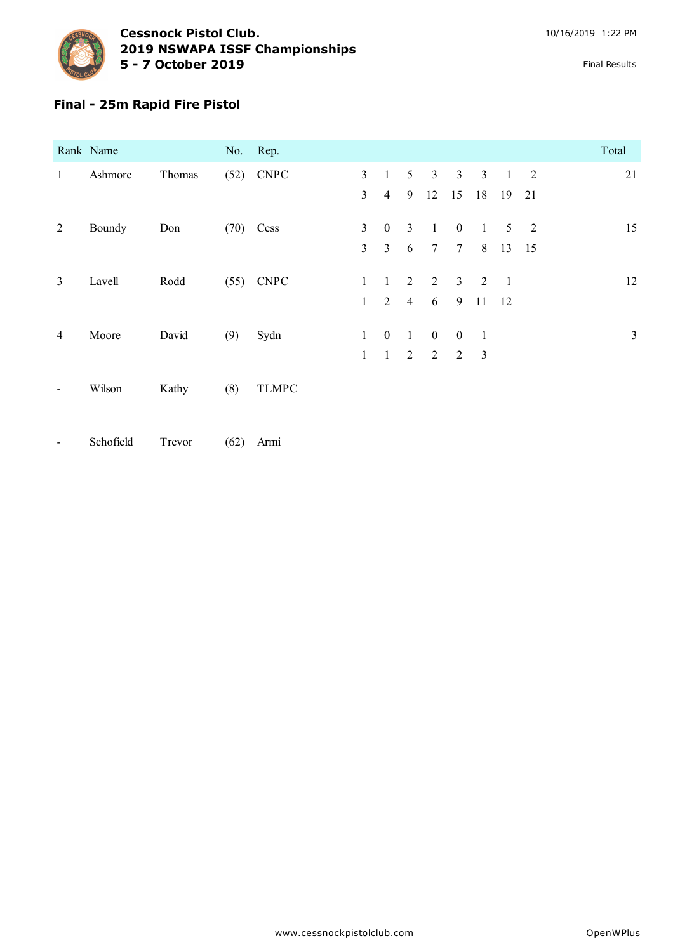

## **Final - 25m Rapid Fire Pistol**

|                | Rank Name |        | No. Rep. |              |                |                  |                 |                |                 |                          |                |    | Total          |
|----------------|-----------|--------|----------|--------------|----------------|------------------|-----------------|----------------|-----------------|--------------------------|----------------|----|----------------|
| $\mathbf{1}$   | Ashmore   | Thomas |          | $(52)$ CNPC  | 3              | $\mathbf{1}$     | $5\overline{)}$ | $\mathbf{3}$   | $\mathbf{3}$    | $\mathbf{3}$             | $\overline{1}$ | 2  | 21             |
|                |           |        |          |              | $\overline{3}$ | $\overline{4}$   | 9               | 12             | 15              | 18                       | 19             | 21 |                |
| 2              | Boundy    | Don    | (70)     | Cess         | $\overline{3}$ | $\mathbf{0}$     | $\mathfrak{Z}$  | $\mathbf{1}$   | $\overline{0}$  | $\mathbf{1}$             | 5              | 2  | 15             |
|                |           |        |          |              | $\overline{3}$ | $\overline{3}$   | 6               | $\overline{7}$ | $7\phantom{.0}$ | 8                        | 13 15          |    |                |
| $\mathbf{3}$   | Lavell    | Rodd   |          | $(55)$ CNPC  | $\mathbf{1}$   | $\mathbf{1}$     | 2               | 2              | $\overline{3}$  | $\overline{\phantom{a}}$ | $\overline{1}$ |    | 12             |
|                |           |        |          |              | 1              | $\overline{2}$   | $\overline{4}$  | 6              | 9               | 11                       | -12            |    |                |
| $\overline{4}$ | Moore     | David  | (9)      | Sydn         | $\mathbf{1}$   | $\boldsymbol{0}$ | $\mathbf{1}$    | $\mathbf{0}$   | $\overline{0}$  | $\overline{1}$           |                |    | $\mathfrak{Z}$ |
|                |           |        |          |              | $\mathbf{1}$   | $\mathbf{1}$     | 2               | $\overline{2}$ | $\overline{2}$  | $\overline{3}$           |                |    |                |
|                | Wilson    | Kathy  | (8)      | <b>TLMPC</b> |                |                  |                 |                |                 |                          |                |    |                |

- Schofield Trevor (62) Armi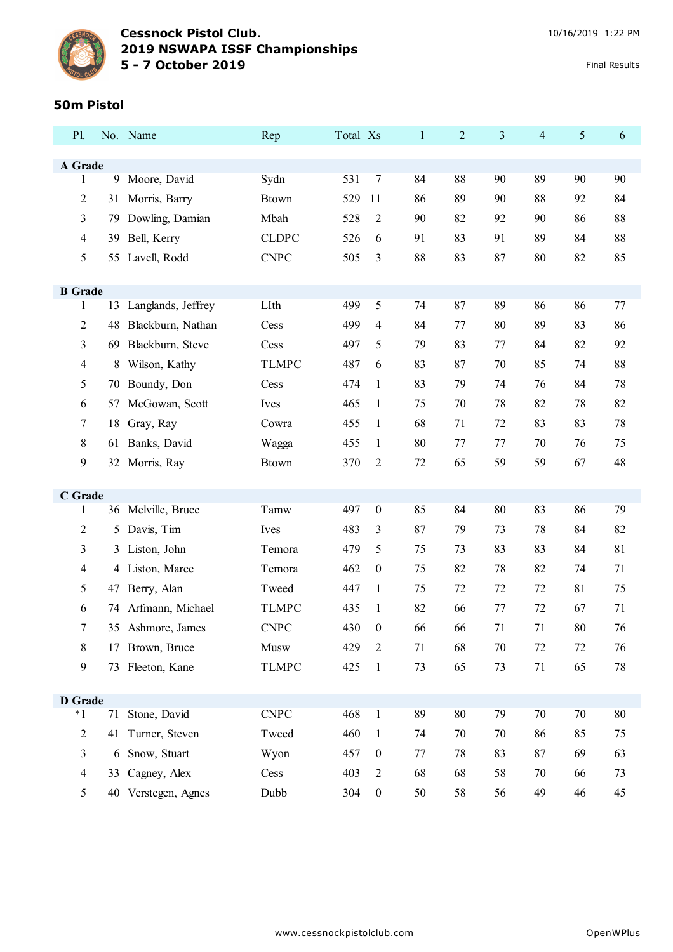

### **Cessnock Pistol Club.** 10/16/2019 1:22 PM **NSWAPA ISSF Championships - 7 October 2019** Final Results

#### **50m Pistol**

| P1.            |    | No. Name            | Rep          | Total Xs |                  | $\mathbf{1}$ | $\overline{c}$ | 3  | 4  | $\mathfrak{S}$ | 6  |
|----------------|----|---------------------|--------------|----------|------------------|--------------|----------------|----|----|----------------|----|
|                |    |                     |              |          |                  |              |                |    |    |                |    |
| A Grade<br>1   |    | 9 Moore, David      | Sydn         | 531      | 7                | 84           | 88             | 90 | 89 | 90             | 90 |
| 2              | 31 | Morris, Barry       | <b>Btown</b> | 529      | 11               | 86           | 89             | 90 | 88 | 92             | 84 |
| 3              | 79 | Dowling, Damian     | Mbah         | 528      | 2                | 90           | 82             | 92 | 90 | 86             | 88 |
| $\overline{4}$ | 39 | Bell, Kerry         | <b>CLDPC</b> | 526      | 6                | 91           | 83             | 91 | 89 | 84             | 88 |
| 5              | 55 | Lavell, Rodd        | <b>CNPC</b>  | 505      | 3                | 88           | 83             | 87 | 80 | 82             | 85 |
|                |    |                     |              |          |                  |              |                |    |    |                |    |
| <b>B</b> Grade |    |                     |              |          |                  |              |                |    |    |                |    |
| 1              | 13 | Langlands, Jeffrey  | LIth         | 499      | 5                | 74           | 87             | 89 | 86 | 86             | 77 |
| $\overline{c}$ | 48 | Blackburn, Nathan   | Cess         | 499      | 4                | 84           | 77             | 80 | 89 | 83             | 86 |
| 3              | 69 | Blackburn, Steve    | Cess         | 497      | 5                | 79           | 83             | 77 | 84 | 82             | 92 |
| $\overline{4}$ | 8  | Wilson, Kathy       | <b>TLMPC</b> | 487      | 6                | 83           | 87             | 70 | 85 | 74             | 88 |
| 5              | 70 | Boundy, Don         | Cess         | 474      | $\mathbf{1}$     | 83           | 79             | 74 | 76 | 84             | 78 |
| 6              | 57 | McGowan, Scott      | Ives         | 465      | $\mathbf{1}$     | 75           | 70             | 78 | 82 | 78             | 82 |
| 7              | 18 | Gray, Ray           | Cowra        | 455      | $\mathbf{1}$     | 68           | 71             | 72 | 83 | 83             | 78 |
| 8              | 61 | Banks, David        | Wagga        | 455      | $\mathbf{1}$     | 80           | 77             | 77 | 70 | 76             | 75 |
| $\mathbf{9}$   | 32 | Morris, Ray         | <b>Btown</b> | 370      | $\overline{c}$   | 72           | 65             | 59 | 59 | 67             | 48 |
|                |    |                     |              |          |                  |              |                |    |    |                |    |
| C Grade<br>1   |    | 36 Melville, Bruce  | Tamw         | 497      | $\boldsymbol{0}$ | 85           | 84             | 80 | 83 | 86             | 79 |
| $\overline{2}$ | 5  | Davis, Tim          | Ives         | 483      | 3                | 87           | 79             | 73 | 78 | 84             | 82 |
| 3              |    | 3 Liston, John      | Temora       | 479      | 5                | 75           | 73             | 83 | 83 | 84             | 81 |
| 4              | 4  | Liston, Maree       | Temora       | 462      | $\boldsymbol{0}$ | 75           | 82             | 78 | 82 | 74             | 71 |
| 5              | 47 | Berry, Alan         | Tweed        | 447      | $\mathbf{1}$     | 75           | 72             | 72 | 72 | 81             | 75 |
| 6              | 74 | Arfmann, Michael    | <b>TLMPC</b> | 435      | 1                | 82           | 66             | 77 | 72 | 67             | 71 |
| 7              |    | 35 Ashmore, James   | <b>CNPC</b>  | 430      | $\boldsymbol{0}$ | 66           | 66             | 71 | 71 | 80             | 76 |
| 8              |    | 17 Brown, Bruce     | Musw         | 429      | 2                | 71           | 68             | 70 | 72 | 72             | 76 |
| 9              |    | 73 Fleeton, Kane    | <b>TLMPC</b> | 425      | $\mathbf{1}$     | 73           | 65             | 73 | 71 | 65             | 78 |
|                |    |                     |              |          |                  |              |                |    |    |                |    |
| <b>D</b> Grade |    |                     |              |          |                  |              |                |    |    |                |    |
| $*1$           |    | 71 Stone, David     | <b>CNPC</b>  | 468      | $\mathbf{1}$     | 89           | 80             | 79 | 70 | 70             | 80 |
| $\overline{2}$ |    | 41 Turner, Steven   | Tweed        | 460      | $\mathbf{1}$     | 74           | 70             | 70 | 86 | 85             | 75 |
| 3              |    | 6 Snow, Stuart      | Wyon         | 457      | $\boldsymbol{0}$ | 77           | 78             | 83 | 87 | 69             | 63 |
| $\overline{4}$ |    | 33 Cagney, Alex     | Cess         | 403      | $\overline{2}$   | 68           | 68             | 58 | 70 | 66             | 73 |
| 5              |    | 40 Verstegen, Agnes | Dubb         | 304      | $\boldsymbol{0}$ | 50           | 58             | 56 | 49 | 46             | 45 |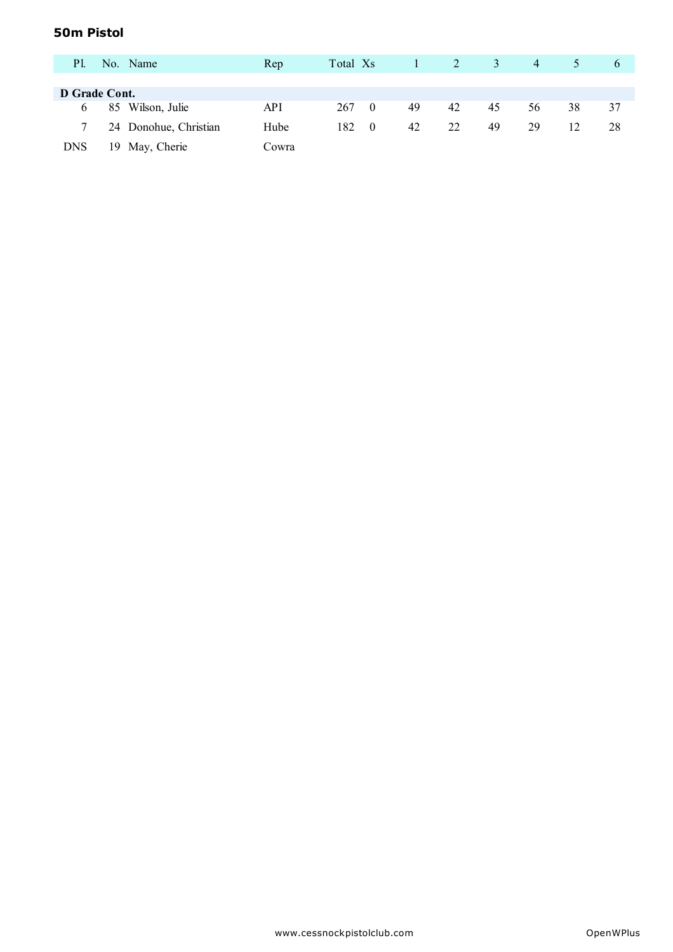### **50m Pistol**

| <b>P1.</b>    |    | No. Name              | Rep        | Total Xs |          |    | $\angle 2$ | 3  | 4  |    | $\sigma$ |
|---------------|----|-----------------------|------------|----------|----------|----|------------|----|----|----|----------|
|               |    |                       |            |          |          |    |            |    |    |    |          |
| D Grade Cont. |    |                       |            |          |          |    |            |    |    |    |          |
| <sub>0</sub>  |    | 85 Wilson, Julie      | <b>API</b> | 267      | $\theta$ | 49 | 42         | 45 | 56 | 38 | 37       |
|               |    | 24 Donohue, Christian | Hube       | 182      | $\theta$ | 42 | 22         | 49 | 29 | 12 | 28       |
| <b>DNS</b>    | 19 | May, Cherie           | Cowra      |          |          |    |            |    |    |    |          |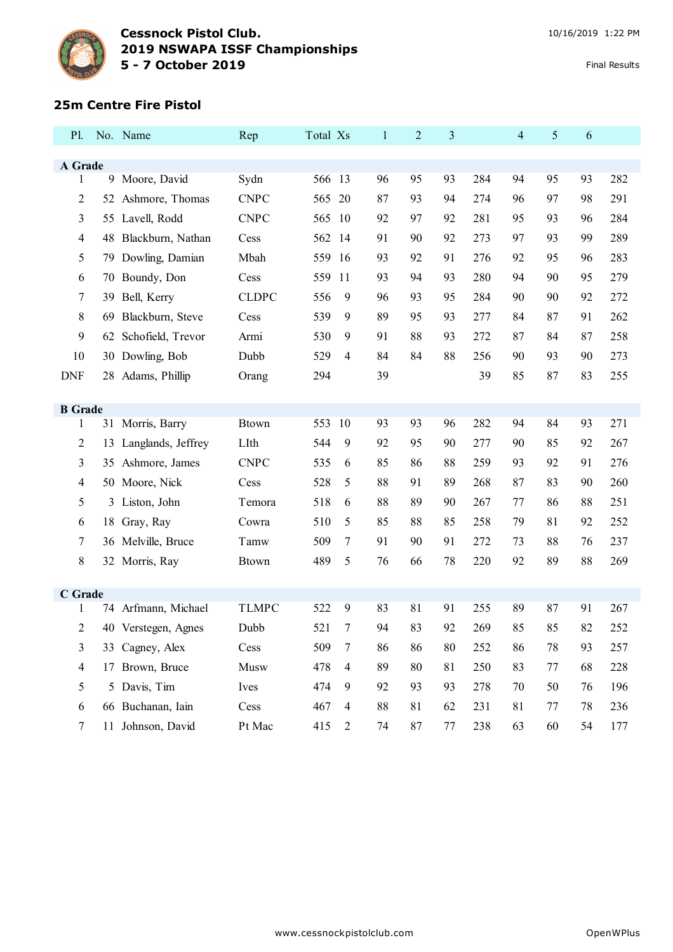

#### **25m Centre Fire Pistol**

| A Grade<br>Sydn<br>95<br>93<br>95<br>93<br>1<br>9<br>Moore, David<br>566 13<br>96<br>284<br>94<br><b>CNPC</b><br>20<br>98<br>2<br>52 Ashmore, Thomas<br>565<br>87<br>93<br>94<br>274<br>97<br>96<br><b>CNPC</b><br>3<br>55 Lavell, Rodd<br>565<br>10<br>92<br>97<br>92<br>281<br>95<br>93<br>96<br>4<br>48 Blackburn, Nathan<br>562<br>14<br>91<br>90<br>92<br>273<br>97<br>93<br>99<br>Cess<br>5<br>Dowling, Damian<br>Mbah<br>95<br>559<br>16<br>93<br>92<br>91<br>276<br>92<br>96<br>79<br>559<br>93<br>90<br>95<br>Boundy, Don<br>11<br>94<br>93<br>280<br>94<br>6<br>Cess<br>70<br><b>CLDPC</b><br>556<br>7<br>Bell, Kerry<br>9<br>96<br>93<br>95<br>284<br>90<br>90<br>92<br>39<br>8<br>9<br>89<br>Blackburn, Steve<br>539<br>95<br>93<br>277<br>84<br>87<br>91<br>69<br>Cess |     |
|-------------------------------------------------------------------------------------------------------------------------------------------------------------------------------------------------------------------------------------------------------------------------------------------------------------------------------------------------------------------------------------------------------------------------------------------------------------------------------------------------------------------------------------------------------------------------------------------------------------------------------------------------------------------------------------------------------------------------------------------------------------------------------------|-----|
|                                                                                                                                                                                                                                                                                                                                                                                                                                                                                                                                                                                                                                                                                                                                                                                     |     |
|                                                                                                                                                                                                                                                                                                                                                                                                                                                                                                                                                                                                                                                                                                                                                                                     | 282 |
|                                                                                                                                                                                                                                                                                                                                                                                                                                                                                                                                                                                                                                                                                                                                                                                     | 291 |
|                                                                                                                                                                                                                                                                                                                                                                                                                                                                                                                                                                                                                                                                                                                                                                                     | 284 |
|                                                                                                                                                                                                                                                                                                                                                                                                                                                                                                                                                                                                                                                                                                                                                                                     | 289 |
|                                                                                                                                                                                                                                                                                                                                                                                                                                                                                                                                                                                                                                                                                                                                                                                     | 283 |
|                                                                                                                                                                                                                                                                                                                                                                                                                                                                                                                                                                                                                                                                                                                                                                                     | 279 |
|                                                                                                                                                                                                                                                                                                                                                                                                                                                                                                                                                                                                                                                                                                                                                                                     | 272 |
|                                                                                                                                                                                                                                                                                                                                                                                                                                                                                                                                                                                                                                                                                                                                                                                     | 262 |
| 9<br>88<br>87<br>62 Schofield, Trevor<br>530<br>9<br>91<br>93<br>272<br>84<br>87<br>Armi                                                                                                                                                                                                                                                                                                                                                                                                                                                                                                                                                                                                                                                                                            | 258 |
| 529<br>84<br>84<br>88<br>90<br>10<br>30 Dowling, Bob<br>Dubb<br>4<br>256<br>90<br>93                                                                                                                                                                                                                                                                                                                                                                                                                                                                                                                                                                                                                                                                                                | 273 |
| 39<br>39<br>85<br>87<br>83<br><b>DNF</b><br>28 Adams, Phillip<br>294<br>Orang                                                                                                                                                                                                                                                                                                                                                                                                                                                                                                                                                                                                                                                                                                       | 255 |
|                                                                                                                                                                                                                                                                                                                                                                                                                                                                                                                                                                                                                                                                                                                                                                                     |     |
| <b>B</b> Grade                                                                                                                                                                                                                                                                                                                                                                                                                                                                                                                                                                                                                                                                                                                                                                      |     |
| 553<br>84<br>93<br>1<br>31 Morris, Barry<br><b>Btown</b><br>10<br>93<br>93<br>96<br>282<br>94                                                                                                                                                                                                                                                                                                                                                                                                                                                                                                                                                                                                                                                                                       | 271 |
| 2<br>LIth<br>9<br>85<br>Langlands, Jeffrey<br>544<br>92<br>95<br>90<br>277<br>90<br>92<br>13                                                                                                                                                                                                                                                                                                                                                                                                                                                                                                                                                                                                                                                                                        | 267 |
| 3<br><b>CNPC</b><br>85<br>92<br>35 Ashmore, James<br>535<br>6<br>86<br>88<br>259<br>93<br>91                                                                                                                                                                                                                                                                                                                                                                                                                                                                                                                                                                                                                                                                                        | 276 |
| 88<br>528<br>5<br>87<br>83<br>4<br>50 Moore, Nick<br>91<br>89<br>268<br>90<br>Cess                                                                                                                                                                                                                                                                                                                                                                                                                                                                                                                                                                                                                                                                                                  | 260 |
| 5<br>518<br>88<br>89<br>77<br>88<br>Liston, John<br>Temora<br>90<br>267<br>86<br>6<br>3                                                                                                                                                                                                                                                                                                                                                                                                                                                                                                                                                                                                                                                                                             | 251 |
| 5<br>85<br>88<br>81<br>92<br>18 Gray, Ray<br>510<br>85<br>258<br>79<br>6<br>Cowra                                                                                                                                                                                                                                                                                                                                                                                                                                                                                                                                                                                                                                                                                                   | 252 |
| 509<br>91<br>88<br>7<br>36 Melville, Bruce<br>7<br>90<br>91<br>272<br>73<br>76<br>Tamw                                                                                                                                                                                                                                                                                                                                                                                                                                                                                                                                                                                                                                                                                              | 237 |
| 8<br>489<br>5<br>78<br>220<br>92<br>89<br>88<br>32 Morris, Ray<br>76<br>66<br><b>Btown</b>                                                                                                                                                                                                                                                                                                                                                                                                                                                                                                                                                                                                                                                                                          | 269 |
|                                                                                                                                                                                                                                                                                                                                                                                                                                                                                                                                                                                                                                                                                                                                                                                     |     |
| C Grade<br><b>TLMPC</b><br>522<br>9<br>81<br>87<br>74 Arfmann, Michael<br>83<br>91<br>255<br>89<br>91<br>1                                                                                                                                                                                                                                                                                                                                                                                                                                                                                                                                                                                                                                                                          | 267 |
| 83<br>92<br>2<br>521<br>7<br>94<br>269<br>85<br>85<br>82<br>40 Verstegen, Agnes<br>Dubb                                                                                                                                                                                                                                                                                                                                                                                                                                                                                                                                                                                                                                                                                             | 252 |
| 3<br>509<br>$\boldsymbol{7}$<br>86<br>86<br>78<br>93<br>33 Cagney, Alex<br>Cess<br>86<br>80<br>252                                                                                                                                                                                                                                                                                                                                                                                                                                                                                                                                                                                                                                                                                  | 257 |
| $\overline{4}$<br>Musw<br>478<br>$\overline{4}$<br>89<br>81<br>250<br>83<br>68<br>17 Brown, Bruce<br>80<br>77                                                                                                                                                                                                                                                                                                                                                                                                                                                                                                                                                                                                                                                                       | 228 |
| 5<br>5 Davis, Tim<br>474<br>9<br>92<br>93<br>278<br>$70\,$<br>50<br>Ives<br>93<br>76                                                                                                                                                                                                                                                                                                                                                                                                                                                                                                                                                                                                                                                                                                | 196 |
| 66 Buchanan, Iain<br>Cess<br>88<br>6<br>467<br>$\overline{4}$<br>81<br>62<br>231<br>81<br>77<br>78                                                                                                                                                                                                                                                                                                                                                                                                                                                                                                                                                                                                                                                                                  | 236 |
| 11 Johnson, David<br>Pt Mac<br>7<br>415<br>74<br>87<br>$77 \,$<br>238<br>63<br>60<br>54<br>$\overline{2}$                                                                                                                                                                                                                                                                                                                                                                                                                                                                                                                                                                                                                                                                           | 177 |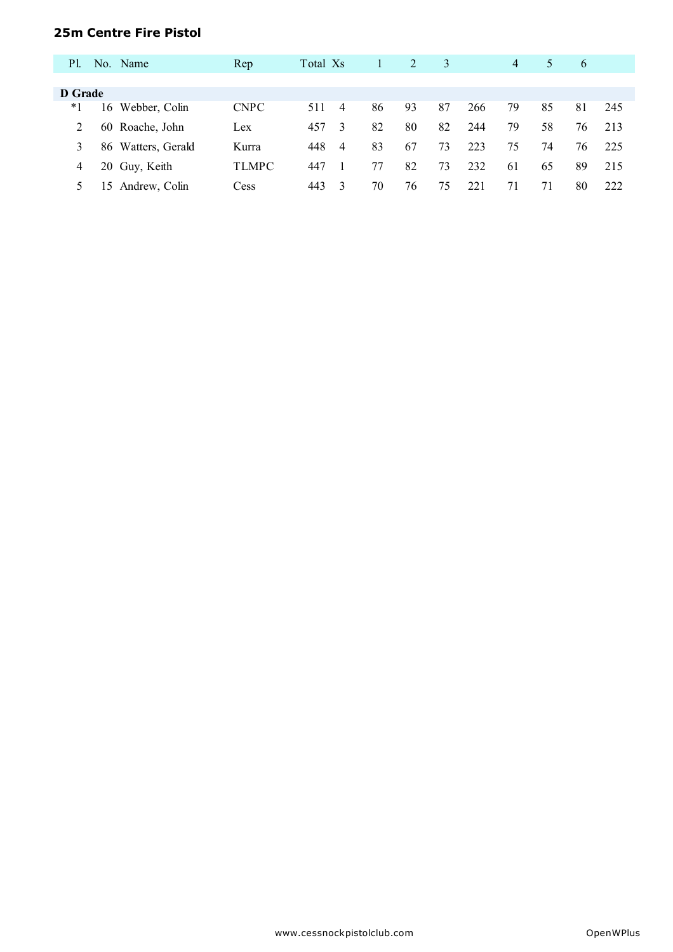### **25m Centre Fire Pistol**

| P1.     |    | No. Name           | Rep          | Total Xs |                |    | $\mathfrak{D}$ | 3  |     | 4  | 5  | 6  |     |
|---------|----|--------------------|--------------|----------|----------------|----|----------------|----|-----|----|----|----|-----|
|         |    |                    |              |          |                |    |                |    |     |    |    |    |     |
| D Grade |    |                    |              |          |                |    |                |    |     |    |    |    |     |
| *1      |    | 16 Webber, Colin   | <b>CNPC</b>  | 511      | 4              | 86 | 93             | 87 | 266 | 79 | 85 | 81 | 245 |
| 2       |    | 60 Roache, John    | Lex          | 457      | 3              | 82 | 80             | 82 | 244 | 79 | 58 | 76 | 213 |
|         |    | 86 Watters, Gerald | Kurra        | 448      | $\overline{4}$ | 83 | 67             | 73 | 223 | 75 | 74 | 76 | 225 |
| 4       |    | 20 Guy, Keith      | <b>TLMPC</b> | 447      |                | 77 | 82             | 73 | 232 | 61 | 65 | 89 | 215 |
|         | 15 | Andrew, Colin      | Cess         | 443      | 3              | 70 | 76             | 75 | 221 | 71 | 71 | 80 | 222 |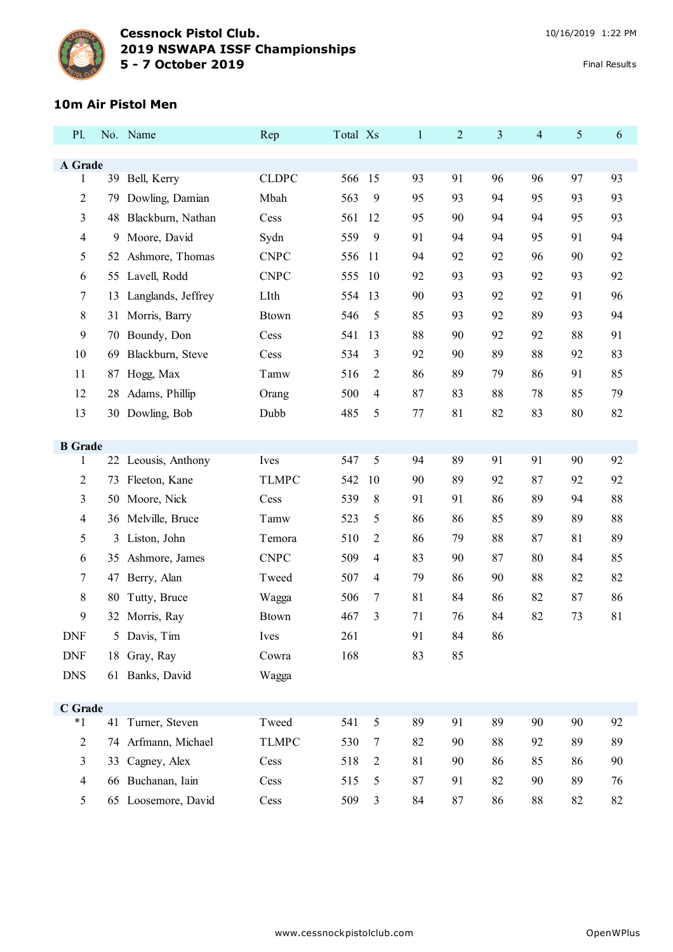

## **10m Air Pistol Men**

| P1.                      |    | No. Name            | Rep          | Total Xs |    | $\mathbf{1}$ | $\overline{2}$ | 3  | $\overline{4}$ | 5  | 6  |
|--------------------------|----|---------------------|--------------|----------|----|--------------|----------------|----|----------------|----|----|
| A Grade                  |    |                     |              |          |    |              |                |    |                |    |    |
| 1                        |    | 39 Bell, Kerry      | <b>CLDPC</b> | 566 15   |    | 93           | 91             | 96 | 96             | 97 | 93 |
| $\overline{c}$           | 79 | Dowling, Damian     | Mbah         | 563      | 9  | 95           | 93             | 94 | 95             | 93 | 93 |
| 3                        | 48 | Blackburn, Nathan   | Cess         | 561      | 12 | 95           | 90             | 94 | 94             | 95 | 93 |
| $\overline{\mathcal{A}}$ | 9  | Moore, David        | Sydn         | 559      | 9  | 91           | 94             | 94 | 95             | 91 | 94 |
| 5                        | 52 | Ashmore, Thomas     | <b>CNPC</b>  | 556      | 11 | 94           | 92             | 92 | 96             | 90 | 92 |
| 6                        | 55 | Lavell, Rodd        | <b>CNPC</b>  | 555      | 10 | 92           | 93             | 93 | 92             | 93 | 92 |
| 7                        | 13 | Langlands, Jeffrey  | LIth         | 554      | 13 | 90           | 93             | 92 | 92             | 91 | 96 |
| 8                        | 31 | Morris, Barry       | <b>Btown</b> | 546      | 5  | 85           | 93             | 92 | 89             | 93 | 94 |
| 9                        | 70 | Boundy, Don         | Cess         | 541      | 13 | 88           | 90             | 92 | 92             | 88 | 91 |
| 10                       | 69 | Blackburn, Steve    | Cess         | 534      | 3  | 92           | 90             | 89 | 88             | 92 | 83 |
| 11                       | 87 | Hogg, Max           | Tamw         | 516      | 2  | 86           | 89             | 79 | 86             | 91 | 85 |
| 12                       | 28 | Adams, Phillip      | Orang        | 500      | 4  | 87           | 83             | 88 | 78             | 85 | 79 |
| 13                       |    | 30 Dowling, Bob     | Dubb         | 485      | 5  | 77           | 81             | 82 | 83             | 80 | 82 |
|                          |    |                     |              |          |    |              |                |    |                |    |    |
| <b>B</b> Grade<br>1      |    | 22 Leousis, Anthony | Ives         | 547      | 5  | 94           | 89             | 91 | 91             | 90 | 92 |
| $\overline{c}$           | 73 | Fleeton, Kane       | <b>TLMPC</b> | 542      | 10 | 90           | 89             | 92 | 87             | 92 | 92 |
| 3                        | 50 | Moore, Nick         | Cess         | 539      | 8  | 91           | 91             | 86 | 89             | 94 | 88 |
| $\overline{\mathcal{A}}$ |    | 36 Melville, Bruce  | Tamw         | 523      | 5  | 86           | 86             | 85 | 89             | 89 | 88 |
| 5                        | 3  | Liston, John        | Temora       | 510      | 2  | 86           | 79             | 88 | 87             | 81 | 89 |
| 6                        | 35 | Ashmore, James      | <b>CNPC</b>  | 509      | 4  | 83           | 90             | 87 | 80             | 84 | 85 |
| 7                        | 47 | Berry, Alan         | Tweed        | 507      | 4  | 79           | 86             | 90 | 88             | 82 | 82 |
| 8                        | 80 | Tutty, Bruce        | Wagga        | 506      | 7  | 81           | 84             | 86 | 82             | 87 | 86 |
| 9                        | 32 | Morris, Ray         | <b>Btown</b> | 467      | 3  | 71           | 76             | 84 | 82             | 73 | 81 |
| <b>DNF</b>               | 5  | Davis, Tim          | Ives         | 261      |    | 91           | 84             | 86 |                |    |    |
| <b>DNF</b>               | 18 | Gray, Ray           | Cowra        | 168      |    | 83           | 85             |    |                |    |    |
| <b>DNS</b>               |    | 61 Banks, David     | Wagga        |          |    |              |                |    |                |    |    |
|                          |    |                     |              |          |    |              |                |    |                |    |    |
| C Grade<br>$*1$          |    | 41 Turner, Steven   | Tweed        | 541      | 5  | 89           | 91             | 89 | 90             | 90 | 92 |
| $\overline{2}$           |    | 74 Arfmann, Michael | <b>TLMPC</b> | 530      | 7  | 82           | 90             | 88 | 92             | 89 | 89 |
| $\overline{3}$           |    | 33 Cagney, Alex     | Cess         | 518      | 2  | 81           | 90             | 86 | 85             | 86 | 90 |
| $\overline{4}$           |    | 66 Buchanan, Iain   | Cess         | 515      | 5  | 87           | 91             | 82 | 90             | 89 | 76 |
| 5                        |    | 65 Loosemore, David | Cess         | 509      | 3  | 84           | $87\,$         | 86 | 88             | 82 | 82 |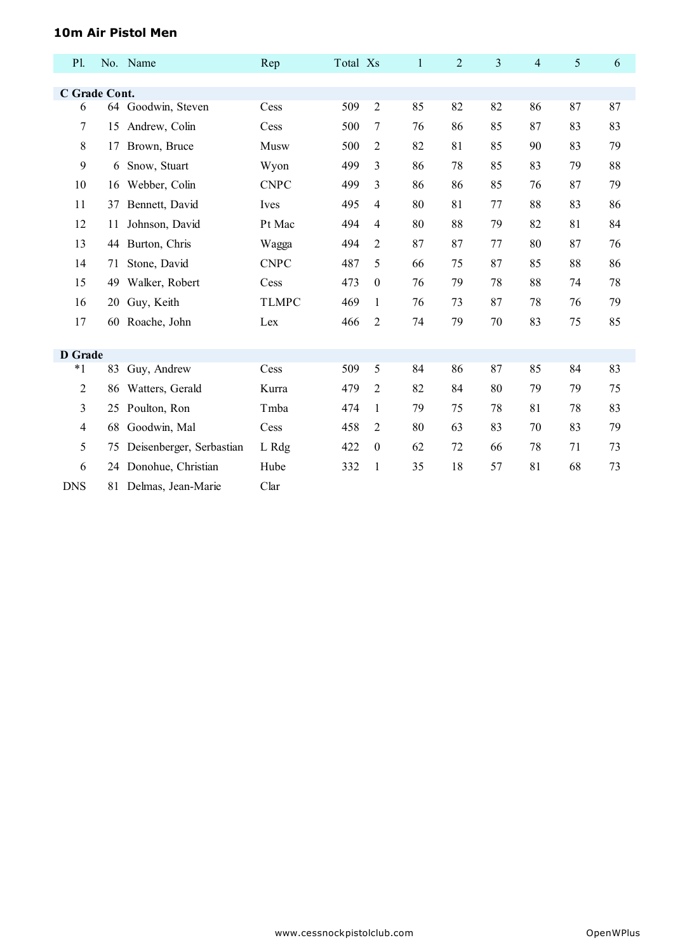#### **10m Air Pistol Men**

| <b>P1.</b>     |    | No. Name                 | Rep          | Total Xs |                  | $\mathbf{1}$ | $\overline{2}$ | $\mathfrak{Z}$ | 4  | 5  | 6  |
|----------------|----|--------------------------|--------------|----------|------------------|--------------|----------------|----------------|----|----|----|
|                |    |                          |              |          |                  |              |                |                |    |    |    |
| C Grade Cont.  |    |                          |              |          |                  |              |                |                |    |    |    |
| 6              |    | 64 Goodwin, Steven       | Cess         | 509      | $\overline{2}$   | 85           | 82             | 82             | 86 | 87 | 87 |
| 7              | 15 | Andrew, Colin            | Cess         | 500      | 7                | 76           | 86             | 85             | 87 | 83 | 83 |
| 8              | 17 | Brown, Bruce             | Musw         | 500      | $\overline{c}$   | 82           | 81             | 85             | 90 | 83 | 79 |
| 9              | 6  | Snow, Stuart             | Wyon         | 499      | 3                | 86           | 78             | 85             | 83 | 79 | 88 |
| 10             | 16 | Webber, Colin            | <b>CNPC</b>  | 499      | 3                | 86           | 86             | 85             | 76 | 87 | 79 |
| 11             | 37 | Bennett, David           | Ives         | 495      | 4                | 80           | 81             | 77             | 88 | 83 | 86 |
| 12             | 11 | Johnson, David           | Pt Mac       | 494      | 4                | 80           | 88             | 79             | 82 | 81 | 84 |
| 13             | 44 | Burton, Chris            | Wagga        | 494      | 2                | 87           | 87             | 77             | 80 | 87 | 76 |
| 14             | 71 | Stone, David             | <b>CNPC</b>  | 487      | 5                | 66           | 75             | 87             | 85 | 88 | 86 |
| 15             | 49 | Walker, Robert           | Cess         | 473      | $\boldsymbol{0}$ | 76           | 79             | 78             | 88 | 74 | 78 |
| 16             | 20 | Guy, Keith               | <b>TLMPC</b> | 469      | $\mathbf{1}$     | 76           | 73             | 87             | 78 | 76 | 79 |
| 17             | 60 | Roache, John             | Lex          | 466      | 2                | 74           | 79             | 70             | 83 | 75 | 85 |
|                |    |                          |              |          |                  |              |                |                |    |    |    |
| <b>D</b> Grade |    |                          |              |          |                  |              |                |                |    |    |    |
| $*1$           |    | 83 Guy, Andrew           | Cess         | 509      | 5                | 84           | 86             | 87             | 85 | 84 | 83 |
| $\overline{2}$ | 86 | Watters, Gerald          | Kurra        | 479      | $\overline{2}$   | 82           | 84             | 80             | 79 | 79 | 75 |
| 3              | 25 | Poulton, Ron             | Tmba         | 474      | $\mathbf{1}$     | 79           | 75             | 78             | 81 | 78 | 83 |
| 4              | 68 | Goodwin, Mal             | Cess         | 458      | $\overline{2}$   | 80           | 63             | 83             | 70 | 83 | 79 |
| 5              | 75 | Deisenberger, Serbastian | L Rdg        | 422      | $\boldsymbol{0}$ | 62           | 72             | 66             | 78 | 71 | 73 |
| 6              |    | 24 Donohue, Christian    | Hube         | 332      | $\mathbf{1}$     | 35           | 18             | 57             | 81 | 68 | 73 |
| <b>DNS</b>     | 81 | Delmas, Jean-Marie       | Clar         |          |                  |              |                |                |    |    |    |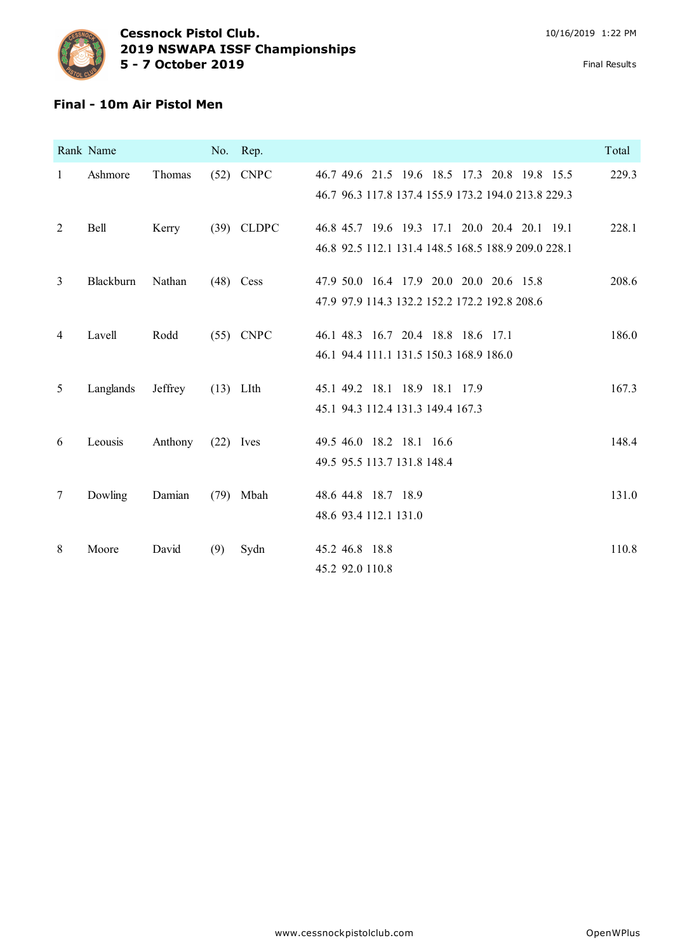

### **Final - 10m Air Pistol Men**

|              | Rank Name |         |             | No. Rep.     |                                                                                                     | Total |
|--------------|-----------|---------|-------------|--------------|-----------------------------------------------------------------------------------------------------|-------|
| $\mathbf{1}$ | Ashmore   | Thomas  |             | $(52)$ CNPC  | 46.7 49.6 21.5 19.6 18.5 17.3 20.8 19.8 15.5<br>46.7 96.3 117.8 137.4 155.9 173.2 194.0 213.8 229.3 | 229.3 |
| 2            | Bell      | Kerry   |             | $(39)$ CLDPC | 46.8 45.7 19.6 19.3 17.1 20.0 20.4 20.1 19.1<br>46.8 92.5 112.1 131.4 148.5 168.5 188.9 209.0 228.1 | 228.1 |
| 3            | Blackburn | Nathan  |             | $(48)$ Cess  | 47.9 50.0 16.4 17.9 20.0 20.0 20.6 15.8<br>47.9 97.9 114.3 132.2 152.2 172.2 192.8 208.6            | 208.6 |
| 4            | Lavell    | Rodd    |             | $(55)$ CNPC  | 46.1 48.3 16.7 20.4 18.8 18.6 17.1<br>46.1 94.4 111.1 131.5 150.3 168.9 186.0                       | 186.0 |
| 5            | Langlands | Jeffrey | $(13)$ LIth |              | 45.1 49.2 18.1 18.9 18.1 17.9<br>45.1 94.3 112.4 131.3 149.4 167.3                                  | 167.3 |
| 6            | Leousis   | Anthony | $(22)$ Ives |              | 49.5 46.0 18.2 18.1 16.6<br>49.5 95.5 113.7 131.8 148.4                                             | 148.4 |
| $\tau$       | Dowling   | Damian  |             | $(79)$ Mbah  | 48.6 44.8 18.7 18.9<br>48.6 93.4 112.1 131.0                                                        | 131.0 |
| 8            | Moore     | David   | (9)         | Sydn         | 45.2 46.8 18.8<br>45.2 92.0 110.8                                                                   | 110.8 |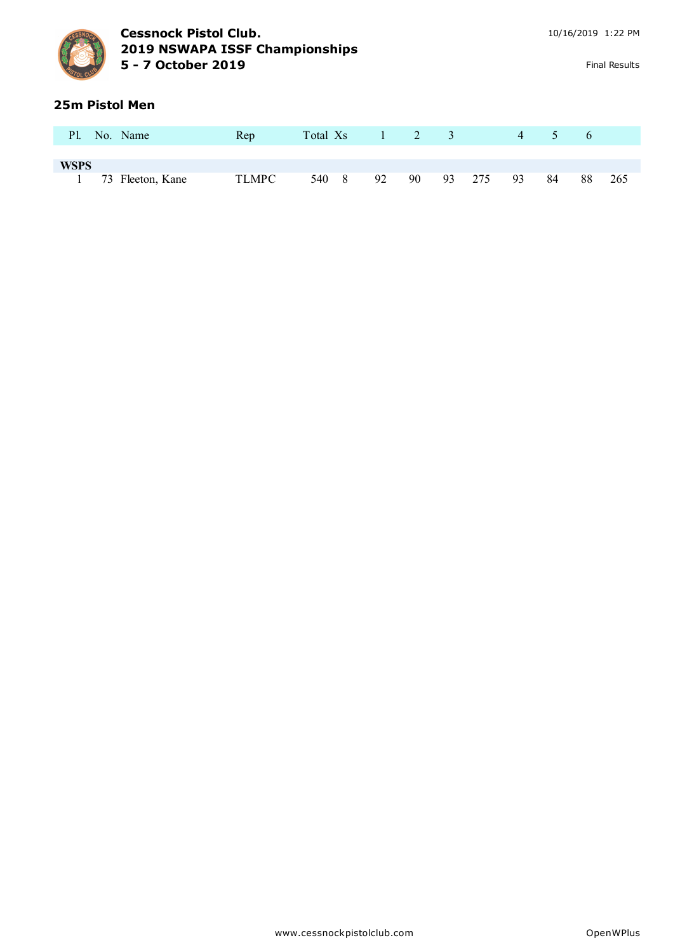

#### **25m Pistol Men**

| P1.         | No. Name         | Rep   | Total Xs |     |    | 2 3 |    |     | 4  |    | $\sigma$ |     |
|-------------|------------------|-------|----------|-----|----|-----|----|-----|----|----|----------|-----|
|             |                  |       |          |     |    |     |    |     |    |    |          |     |
| <b>WSPS</b> |                  |       |          |     |    |     |    |     |    |    |          |     |
|             | 73 Fleeton, Kane | TLMPC | 540      | - 8 | 92 | 90  | 93 | 275 | 93 | 84 | 88       | 265 |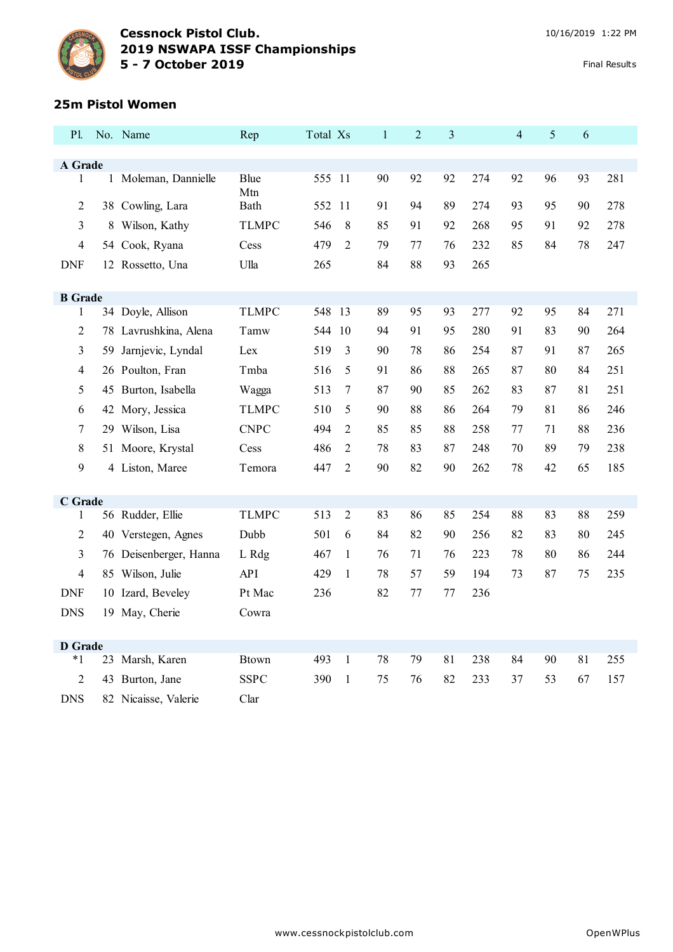

## **25m Pistol Women**

| P1.            |    | No. Name               | Rep          | Total Xs |                | $\mathbf{1}$ | $\overline{2}$ | $\mathfrak{Z}$ |     | $\overline{4}$ | 5  | 6      |     |
|----------------|----|------------------------|--------------|----------|----------------|--------------|----------------|----------------|-----|----------------|----|--------|-----|
| A Grade        |    |                        |              |          |                |              |                |                |     |                |    |        |     |
| 1              |    | 1 Moleman, Dannielle   | Blue         | 555 11   |                | 90           | 92             | 92             | 274 | 92             | 96 | 93     | 281 |
|                |    |                        | Mtn          |          |                |              |                |                |     |                |    |        |     |
| $\overline{2}$ |    | 38 Cowling, Lara       | Bath         | 552      | 11             | 91           | 94             | 89             | 274 | 93             | 95 | 90     | 278 |
| 3              |    | 8 Wilson, Kathy        | <b>TLMPC</b> | 546      | 8              | 85           | 91             | 92             | 268 | 95             | 91 | 92     | 278 |
| 4              |    | 54 Cook, Ryana         | Cess         | 479      | $\overline{2}$ | 79           | 77             | 76             | 232 | 85             | 84 | 78     | 247 |
| <b>DNF</b>     |    | 12 Rossetto, Una       | Ulla         | 265      |                | 84           | 88             | 93             | 265 |                |    |        |     |
| <b>B</b> Grade |    |                        |              |          |                |              |                |                |     |                |    |        |     |
| 1              |    | 34 Doyle, Allison      | <b>TLMPC</b> | 548 13   |                | 89           | 95             | 93             | 277 | 92             | 95 | 84     | 271 |
| $\overline{2}$ |    | 78 Lavrushkina, Alena  | Tamw         | 544      | 10             | 94           | 91             | 95             | 280 | 91             | 83 | 90     | 264 |
| 3              | 59 | Jarnjevic, Lyndal      | Lex          | 519      | 3              | 90           | 78             | 86             | 254 | 87             | 91 | 87     | 265 |
| 4              |    | 26 Poulton, Fran       | Tmba         | 516      | 5              | 91           | 86             | 88             | 265 | 87             | 80 | 84     | 251 |
| 5              |    | 45 Burton, Isabella    | Wagga        | 513      | $\overline{7}$ | 87           | 90             | 85             | 262 | 83             | 87 | 81     | 251 |
| 6              |    | 42 Mory, Jessica       | TLMPC        | 510      | 5              | 90           | 88             | 86             | 264 | 79             | 81 | 86     | 246 |
| 7              |    | 29 Wilson, Lisa        | <b>CNPC</b>  | 494      | $\overline{2}$ | 85           | 85             | 88             | 258 | 77             | 71 | 88     | 236 |
| 8              |    | 51 Moore, Krystal      | Cess         | 486      | 2              | 78           | 83             | 87             | 248 | 70             | 89 | 79     | 238 |
| 9              |    | 4 Liston, Maree        | Temora       | 447      | $\overline{2}$ | 90           | 82             | 90             | 262 | 78             | 42 | 65     | 185 |
|                |    |                        |              |          |                |              |                |                |     |                |    |        |     |
| C Grade        |    |                        |              |          |                |              |                |                |     |                |    |        |     |
| $\mathbf{1}$   |    | 56 Rudder, Ellie       | <b>TLMPC</b> | 513      | $\overline{2}$ | 83           | 86             | 85             | 254 | 88             | 83 | $88\,$ | 259 |
| $\overline{2}$ |    | 40 Verstegen, Agnes    | Dubb         | 501      | 6              | 84           | 82             | 90             | 256 | 82             | 83 | 80     | 245 |
| 3              |    | 76 Deisenberger, Hanna | L Rdg        | 467      | $\mathbf{1}$   | 76           | 71             | 76             | 223 | 78             | 80 | 86     | 244 |
| 4              |    | 85 Wilson, Julie       | <b>API</b>   | 429      | $\mathbf{1}$   | 78           | 57             | 59             | 194 | 73             | 87 | 75     | 235 |
| <b>DNF</b>     |    | 10 Izard, Beveley      | Pt Mac       | 236      |                | 82           | 77             | 77             | 236 |                |    |        |     |
| <b>DNS</b>     |    | 19 May, Cherie         | Cowra        |          |                |              |                |                |     |                |    |        |     |
|                |    |                        |              |          |                |              |                |                |     |                |    |        |     |
| <b>D</b> Grade |    |                        |              |          |                |              |                |                |     |                |    |        |     |
| $*1$           |    | 23 Marsh, Karen        | <b>Btown</b> | 493      | $\mathbf{1}$   | 78           | 79             | 81             | 238 | 84             | 90 | 81     | 255 |
| 2              |    | 43 Burton, Jane        | <b>SSPC</b>  | 390      | $\mathbf{1}$   | 75           | 76             | 82             | 233 | 37             | 53 | 67     | 157 |
| <b>DNS</b>     |    | 82 Nicaisse, Valerie   | Clar         |          |                |              |                |                |     |                |    |        |     |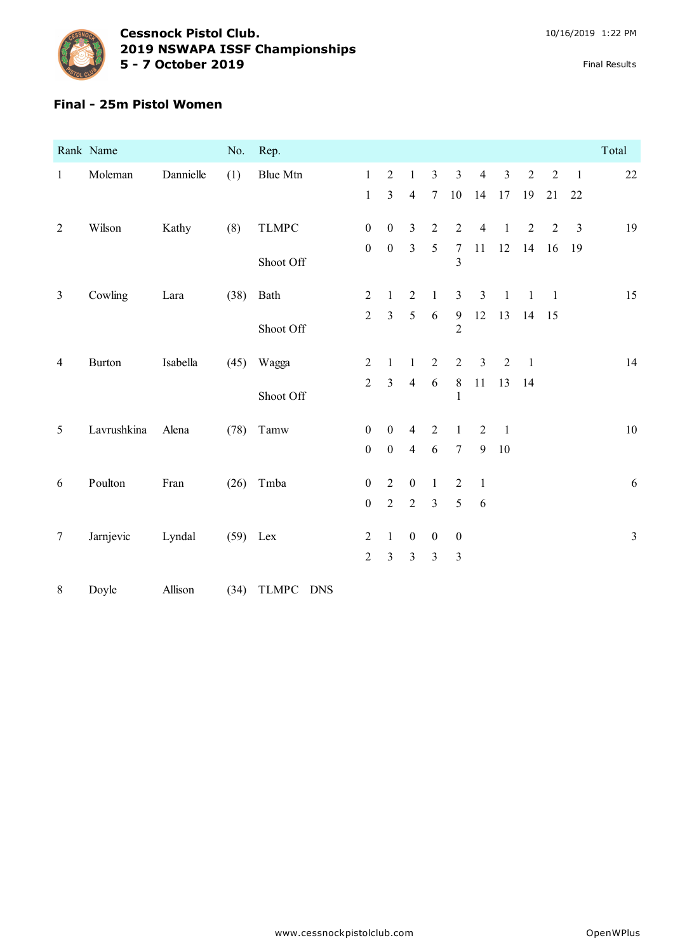

#### **Final - 25m Pistol Women**

|                | Rank Name     |           | No.        | Rep.                       |                  |                  |                  |                  |                                  |                |                |                |                |                | Total          |
|----------------|---------------|-----------|------------|----------------------------|------------------|------------------|------------------|------------------|----------------------------------|----------------|----------------|----------------|----------------|----------------|----------------|
| $\mathbf{1}$   | Moleman       | Dannielle | (1)        | Blue Mtn                   | $\mathbf{1}$     | $\overline{2}$   | $\mathbf{1}$     | $\mathfrak{Z}$   | $\mathfrak{Z}$                   | $\overline{4}$ | $\mathfrak{Z}$ | $\sqrt{2}$     | $\sqrt{2}$     | $\overline{1}$ | $22\,$         |
|                |               |           |            |                            | $\mathbf{1}$     | $\overline{3}$   | $\overline{4}$   | $\tau$           | $10\,$                           | 14             | $17\,$         | 19             | 21             | 22             |                |
| $\overline{2}$ | Wilson        | Kathy     | (8)        | <b>TLMPC</b>               | $\boldsymbol{0}$ | $\boldsymbol{0}$ | $\overline{3}$   | $\overline{2}$   | $\overline{2}$                   | $\overline{4}$ | $\mathbf{1}$   | $\overline{2}$ | $\overline{2}$ | $\overline{3}$ | 19             |
|                |               |           |            | Shoot Off                  | $\boldsymbol{0}$ | $\boldsymbol{0}$ | $\overline{3}$   | $\sqrt{5}$       | $\tau$<br>3                      | 11             | $12\,$         | 14             | 16             | 19             |                |
| $\mathfrak{Z}$ | Cowling       | Lara      | (38)       | Bath                       | $\overline{2}$   | $\mathbf{1}$     | $\overline{2}$   | $\mathbf{1}$     | $\mathfrak{Z}$                   | $\mathfrak{Z}$ | $\mathbf{1}$   | $\mathbf{1}$   | $\overline{1}$ |                | 15             |
|                |               |           |            | Shoot Off                  | $\overline{2}$   | $\overline{3}$   | 5                | $\sqrt{6}$       | $\overline{9}$<br>$\overline{2}$ | 12             | 13             | 14             | 15             |                |                |
| $\overline{4}$ | <b>Burton</b> | Isabella  | (45)       | Wagga                      | $\overline{2}$   | $\mathbf{1}$     | $\mathbf{1}$     | $\sqrt{2}$       | $\sqrt{2}$                       | $\mathfrak{Z}$ | $\overline{2}$ | $\overline{1}$ |                |                | 14             |
|                |               |           |            | Shoot Off                  | $\overline{2}$   | $\overline{3}$   | $\overline{4}$   | $\sqrt{6}$       | $\,8\,$<br>1                     | 11             | 13             | 14             |                |                |                |
| 5              | Lavrushkina   | Alena     | (78)       | Tamw                       | $\boldsymbol{0}$ | $\boldsymbol{0}$ | $\overline{4}$   | $\sqrt{2}$       | $\mathbf{1}$                     | $\sqrt{2}$     | $\mathbf{1}$   |                |                |                | $10\,$         |
|                |               |           |            |                            | $\mathbf{0}$     | $\boldsymbol{0}$ | $\overline{4}$   | 6                | $\boldsymbol{7}$                 | 9              | $10\,$         |                |                |                |                |
| 6              | Poulton       | Fran      | (26)       | Tmba                       | $\boldsymbol{0}$ | $\overline{2}$   | $\boldsymbol{0}$ | $\mathbf{1}$     | $\overline{2}$                   | $\overline{1}$ |                |                |                |                | 6              |
|                |               |           |            |                            | $\boldsymbol{0}$ | $\sqrt{2}$       | $\sqrt{2}$       | $\mathfrak{Z}$   | $\sqrt{5}$                       | 6              |                |                |                |                |                |
| $\tau$         | Jarnjevic     | Lyndal    | $(59)$ Lex |                            | $\overline{2}$   | $\mathbf{1}$     | $\boldsymbol{0}$ | $\boldsymbol{0}$ | $\boldsymbol{0}$                 |                |                |                |                |                | $\mathfrak{Z}$ |
|                |               |           |            |                            | $\overline{2}$   | $\overline{3}$   | $\overline{3}$   | $\overline{3}$   | $\mathfrak{Z}$                   |                |                |                |                |                |                |
| $8\,$          | Doyle         | Allison   | (34)       | <b>TLMPC</b><br><b>DNS</b> |                  |                  |                  |                  |                                  |                |                |                |                |                |                |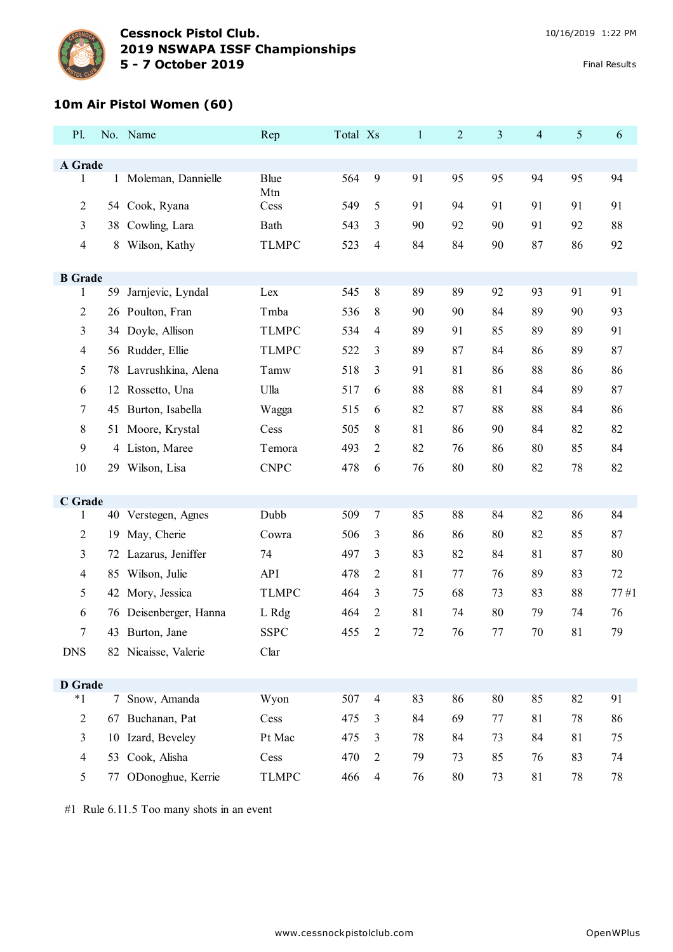

## **10m Air Pistol Women (60)**

| P1.                            |    | No. Name                                | Rep                 | Total Xs |                     | $\mathbf{1}$ | $\overline{2}$ | $\mathfrak{Z}$ | $\overline{4}$ | 5      | 6      |
|--------------------------------|----|-----------------------------------------|---------------------|----------|---------------------|--------------|----------------|----------------|----------------|--------|--------|
|                                |    |                                         |                     |          |                     |              |                |                |                |        |        |
| A Grade<br>1                   |    | 1 Moleman, Dannielle                    | Blue                | 564      | 9                   | 91           | 95             | 95             | 94             | 95     | 94     |
|                                |    |                                         | Mtn                 |          |                     |              |                |                |                |        |        |
| $\overline{2}$                 |    | 54 Cook, Ryana                          | Cess                | 549      | 5                   | 91           | 94             | 91             | 91             | 91     | 91     |
| 3                              |    | 38 Cowling, Lara                        | Bath                | 543      | 3                   | 90           | 92             | 90             | 91             | 92     | 88     |
| $\overline{\mathcal{A}}$       | 8  | Wilson, Kathy                           | <b>TLMPC</b>        | 523      | 4                   | 84           | 84             | 90             | 87             | 86     | 92     |
|                                |    |                                         |                     |          |                     |              |                |                |                |        |        |
| <b>B</b> Grade<br>1            |    | 59 Jarnjevic, Lyndal                    | Lex                 | 545      | 8                   | 89           | 89             | 92             | 93             | 91     | 91     |
| 2                              | 26 | Poulton, Fran                           | Tmba                | 536      | 8                   | 90           | 90             | 84             | 89             | 90     | 93     |
| 3                              |    | 34 Doyle, Allison                       | <b>TLMPC</b>        | 534      | 4                   | 89           | 91             | 85             | 89             | 89     | 91     |
| 4                              |    | 56 Rudder, Ellie                        | <b>TLMPC</b>        | 522      | 3                   | 89           | 87             | 84             | 86             | 89     | 87     |
| 5                              | 78 | Lavrushkina, Alena                      | Tamw                | 518      | 3                   | 91           | 81             | 86             | 88             | 86     | 86     |
| 6                              | 12 | Rossetto, Una                           | Ulla                | 517      | 6                   | 88           | 88             | 81             | 84             | 89     | 87     |
| 7                              |    | 45 Burton, Isabella                     | Wagga               | 515      | 6                   | 82           | 87             | 88             | 88             | 84     | 86     |
| 8                              |    | 51 Moore, Krystal                       | Cess                | 505      | 8                   | 81           | 86             | 90             | 84             | 82     | 82     |
| 9                              | 4  | Liston, Maree                           | Temora              | 493      | 2                   | 82           | 76             | 86             | 80             | 85     | 84     |
| 10                             |    | 29 Wilson, Lisa                         | <b>CNPC</b>         | 478      | 6                   | 76           | 80             | 80             | 82             | 78     | 82     |
|                                |    |                                         |                     |          |                     |              |                |                |                |        |        |
| C Grade                        |    |                                         | Dubb                | 509      | 7                   | 85           | 88             | 84             | 82             | 86     | 84     |
| $\mathbf{1}$<br>$\overline{2}$ |    | 40 Verstegen, Agnes<br>May, Cherie      |                     | 506      |                     | 86           |                | 80             | 82             | 85     | 87     |
|                                | 19 | Lazarus, Jeniffer                       | Cowra<br>74         | 497      | 3                   | 83           | 86<br>82       | 84             | 81             | 87     | 80     |
| 3                              | 72 |                                         |                     |          | 3                   |              |                |                |                |        |        |
| 4                              | 85 | Wilson, Julie                           | API                 | 478      | 2                   | 81           | 77             | 76             | 89             | 83     | $72\,$ |
| 5                              |    | 42 Mory, Jessica                        | <b>TLMPC</b>        | 464      | 3<br>$\overline{2}$ | 75           | 68<br>74       | 73<br>80       | 83<br>79       | 88     | 77#1   |
| 6                              |    | 76 Deisenberger, Hanna                  | L Rdg               | 464      |                     | 81           | 76             |                |                | 74     | 76     |
| <b>DNS</b>                     |    | 43 Burton, Jane<br>82 Nicaisse, Valerie | <b>SSPC</b><br>Clar | 455 2    |                     | 72           |                | $77\,$         | 70             | 81     | 79     |
|                                |    |                                         |                     |          |                     |              |                |                |                |        |        |
| <b>D</b> Grade                 |    |                                         |                     |          |                     |              |                |                |                |        |        |
| $*1$                           |    | 7 Snow, Amanda                          | Wyon                | 507      | $\overline{4}$      | 83           | 86             | $80\,$         | 85             | 82     | 91     |
| $\overline{2}$                 |    | 67 Buchanan, Pat                        | Cess                | 475      | 3                   | 84           | 69             | 77             | 81             | 78     | 86     |
| $\mathfrak{Z}$                 | 10 | Izard, Beveley                          | Pt Mac              | 475      | 3                   | 78           | 84             | 73             | 84             | 81     | 75     |
| $\overline{4}$                 | 53 | Cook, Alisha                            | Cess                | 470      | $\overline{c}$      | 79           | 73             | 85             | 76             | 83     | 74     |
| 5                              | 77 | ODonoghue, Kerrie                       | <b>TLMPC</b>        | 466      | 4                   | 76           | 80             | 73             | $81\,$         | $78\,$ | $78\,$ |

#1 Rule 6.11.5 Too many shots in an event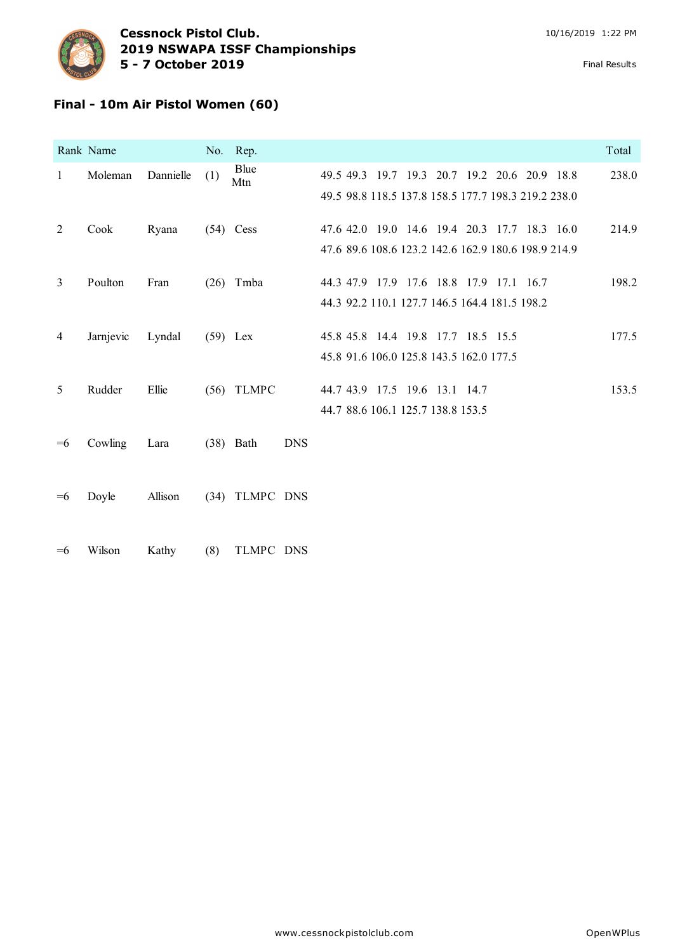

### **Final - 10m Air Pistol Women (60)**

|              | Rank Name |           |            | No. Rep.       |            |                                                                                                     | Total |
|--------------|-----------|-----------|------------|----------------|------------|-----------------------------------------------------------------------------------------------------|-------|
| $\mathbf{1}$ | Moleman   | Dannielle | (1)        | Blue<br>Mtn    |            | 49.5 49.3 19.7 19.3 20.7 19.2 20.6 20.9 18.8<br>49.5 98.8 118.5 137.8 158.5 177.7 198.3 219.2 238.0 | 238.0 |
| 2            | Cook      | Ryana     |            | $(54)$ Cess    |            | 47.6 42.0 19.0 14.6 19.4 20.3 17.7 18.3 16.0<br>47.6 89.6 108.6 123.2 142.6 162.9 180.6 198.9 214.9 | 214.9 |
| 3            | Poulton   | Fran      |            | $(26)$ Tmba    |            | 44.3 47.9 17.9 17.6 18.8 17.9 17.1 16.7<br>44.3 92.2 110.1 127.7 146.5 164.4 181.5 198.2            | 198.2 |
| 4            | Jarnjevic | Lyndal    | $(59)$ Lex |                |            | 45.8 45.8 14.4 19.8 17.7 18.5 15.5<br>45.8 91.6 106.0 125.8 143.5 162.0 177.5                       | 177.5 |
| 5            | Rudder    | Ellie     | (56)       | <b>TLMPC</b>   |            | 44.7 43.9 17.5 19.6 13.1 14.7<br>44.7 88.6 106.1 125.7 138.8 153.5                                  | 153.5 |
| $=6$         | Cowling   | Lara      |            | $(38)$ Bath    | <b>DNS</b> |                                                                                                     |       |
| $=6$         | Doyle     | Allison   |            | (34) TLMPC DNS |            |                                                                                                     |       |
| $=6$         | Wilson    | Kathy     | (8)        | TLMPC DNS      |            |                                                                                                     |       |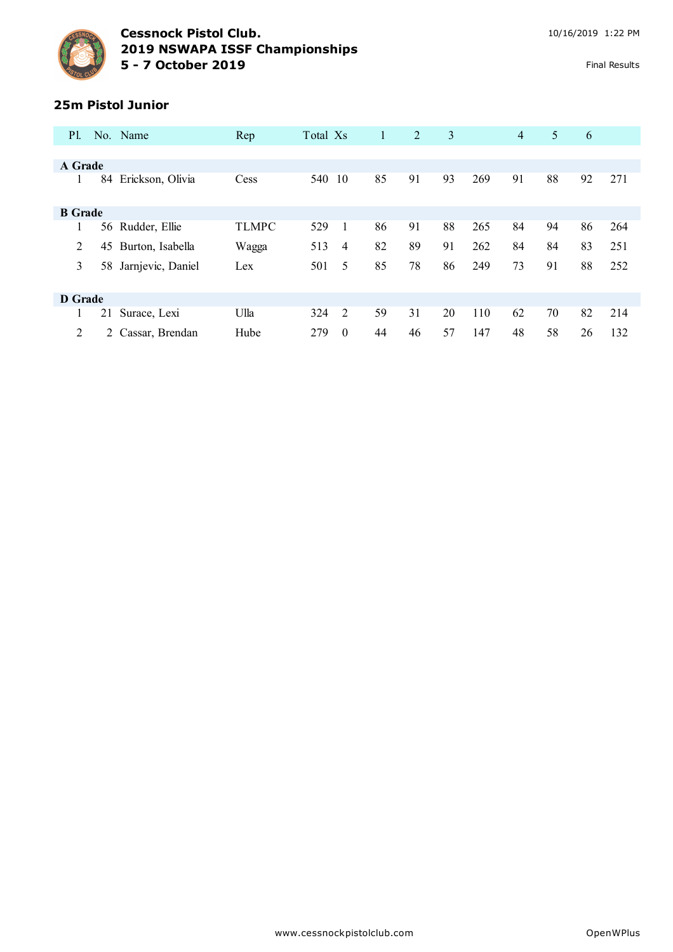

#### **25m Pistol Junior**

| <b>P</b> 1.    |    | No. Name          | Rep          | Total Xs |          | 1  | 2  | 3  |     | $\overline{4}$ | 5  | 6  |     |
|----------------|----|-------------------|--------------|----------|----------|----|----|----|-----|----------------|----|----|-----|
|                |    |                   |              |          |          |    |    |    |     |                |    |    |     |
| A Grade        |    |                   |              |          |          |    |    |    |     |                |    |    |     |
|                | 84 | Erickson, Olivia  | Cess         | 540      | 10       | 85 | 91 | 93 | 269 | 91             | 88 | 92 | 271 |
| <b>B</b> Grade |    |                   |              |          |          |    |    |    |     |                |    |    |     |
|                | 56 | Rudder, Ellie     | <b>TLMPC</b> | 529      |          | 86 | 91 | 88 | 265 | 84             | 94 | 86 | 264 |
| 2              | 45 | Burton, Isabella  | Wagga        | 513      | 4        | 82 | 89 | 91 | 262 | 84             | 84 | 83 | 251 |
| 3              | 58 | Jarnjevic, Daniel | Lex          | 501      | 5        | 85 | 78 | 86 | 249 | 73             | 91 | 88 | 252 |
|                |    |                   |              |          |          |    |    |    |     |                |    |    |     |
| D Grade        |    |                   |              |          |          |    |    |    |     |                |    |    |     |
|                | 21 | Surace, Lexi      | Ulla         | 324      | 2        | 59 | 31 | 20 | 110 | 62             | 70 | 82 | 214 |
| 2              |    | Cassar, Brendan   | Hube         | 279      | $\theta$ | 44 | 46 | 57 | 147 | 48             | 58 | 26 | 132 |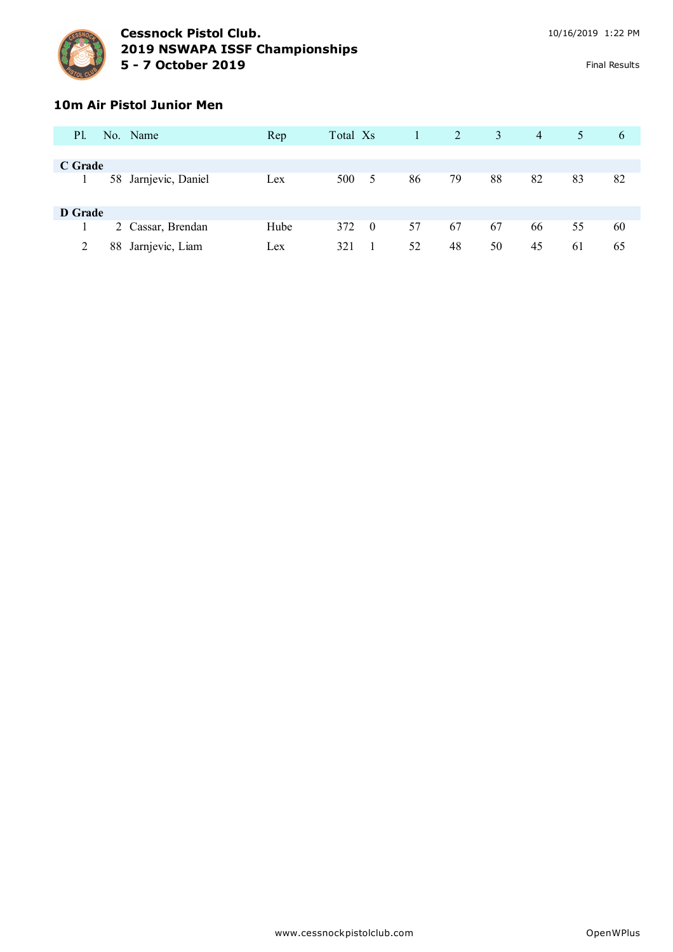

#### **10m Air Pistol Junior Men**

| P1.     |    | No. Name             | Rep  | Total Xs |                |    | 2  | 3  | $\overline{4}$ | 5 <sup>1</sup> | 6  |
|---------|----|----------------------|------|----------|----------------|----|----|----|----------------|----------------|----|
|         |    |                      |      |          |                |    |    |    |                |                |    |
| C Grade |    |                      |      |          |                |    |    |    |                |                |    |
|         |    | 58 Jarnjevic, Daniel | Lex  | 500      | 5              | 86 | 79 | 88 | 82             | 83             | 82 |
| D Grade |    |                      |      |          |                |    |    |    |                |                |    |
|         |    | 2 Cassar, Brendan    | Hube | 372      | $\overline{0}$ | 57 | 67 | 67 | 66             | 55             | 60 |
|         | 88 | Jarnjevic, Liam      | Lex  | 321      |                | 52 | 48 | 50 | 45             | 61             | 65 |